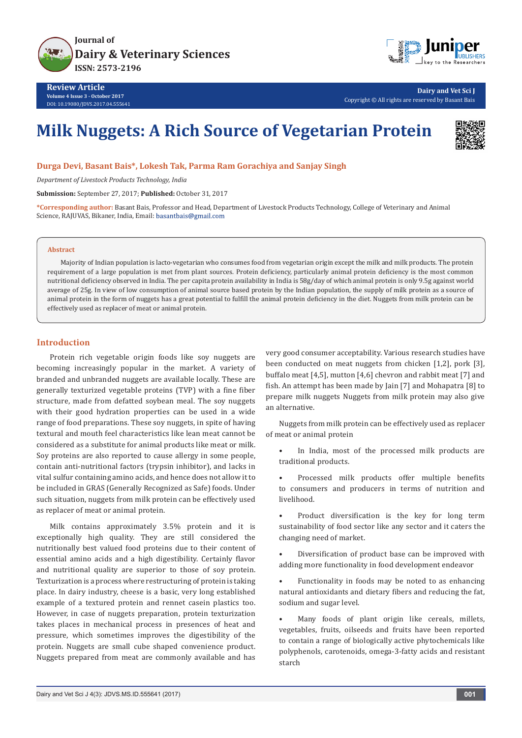

**Review Article Volume 4 Issue 3 - October 2017** DOI: [10.19080/JDVS.2017.04.555641](http://dx.doi.org/10.19080/JDVS.2017.04.555641)



**Dairy and Vet Sci J** Copyright © All rights are reserved by Basant Bais

# **Milk Nuggets: A Rich Source of Vegetarian Protein**



**Durga Devi, Basant Bais\*, Lokesh Tak, Parma Ram Gorachiya and Sanjay Singh**

*Department of Livestock Products Technology, India*

**Submission:** September 27, 2017; **Published:** October 31, 2017

**\*Corresponding author:** Basant Bais, Professor and Head, Department of Livestock Products Technology, College of Veterinary and Animal Science, RAJUVAS, Bikaner, India, Email: basantbais@gmail.com

#### **Abstract**

Majority of Indian population is lacto-vegetarian who consumes food from vegetarian origin except the milk and milk products. The protein requirement of a large population is met from plant sources. Protein deficiency, particularly animal protein deficiency is the most common nutritional deficiency observed in India. The per capita protein availability in India is 58g/day of which animal protein is only 9.5g against world average of 25g. In view of low consumption of animal source based protein by the Indian population, the supply of milk protein as a source of animal protein in the form of nuggets has a great potential to fulfill the animal protein deficiency in the diet. Nuggets from milk protein can be effectively used as replacer of meat or animal protein.

## **Introduction**

Protein rich vegetable origin foods like soy nuggets are becoming increasingly popular in the market. A variety of branded and unbranded nuggets are available locally. These are generally texturized vegetable proteins (TVP) with a fine fiber structure, made from defatted soybean meal. The soy nuggets with their good hydration properties can be used in a wide range of food preparations. These soy nuggets, in spite of having textural and mouth feel characteristics like lean meat cannot be considered as a substitute for animal products like meat or milk. Soy proteins are also reported to cause allergy in some people, contain anti-nutritional factors (trypsin inhibitor), and lacks in vital sulfur containing amino acids, and hence does not allow it to be included in GRAS (Generally Recognized as Safe) foods. Under such situation, nuggets from milk protein can be effectively used as replacer of meat or animal protein.

Milk contains approximately 3.5% protein and it is exceptionally high quality. They are still considered the nutritionally best valued food proteins due to their content of essential amino acids and a high digestibility. Certainly flavor and nutritional quality are superior to those of soy protein. Texturization is a process where restructuring of protein is taking place. In dairy industry, cheese is a basic, very long established example of a textured protein and rennet casein plastics too. However, in case of nuggets preparation, protein texturization takes places in mechanical process in presences of heat and pressure, which sometimes improves the digestibility of the protein. Nuggets are small cube shaped convenience product. Nuggets prepared from meat are commonly available and has very good consumer acceptability. Various research studies have been conducted on meat nuggets from chicken [1,2], pork [3], buffalo meat [4,5], mutton [4,6] chevron and rabbit meat [7] and fish. An attempt has been made by Jain [7] and Mohapatra [8] to prepare milk nuggets Nuggets from milk protein may also give an alternative.

Nuggets from milk protein can be effectively used as replacer of meat or animal protein

- In India, most of the processed milk products are traditional products.
- Processed milk products offer multiple benefits to consumers and producers in terms of nutrition and livelihood.
- Product diversification is the key for long term sustainability of food sector like any sector and it caters the changing need of market.
- Diversification of product base can be improved with adding more functionality in food development endeavor
- Functionality in foods may be noted to as enhancing natural antioxidants and dietary fibers and reducing the fat, sodium and sugar level.

Many foods of plant origin like cereals, millets, vegetables, fruits, oilseeds and fruits have been reported to contain a range of biologically active phytochemicals like polyphenols, carotenoids, omega-3-fatty acids and resistant starch